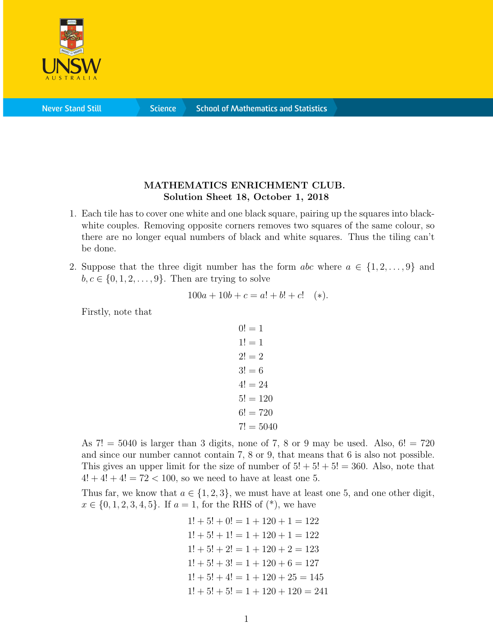

**Never Stand Still** 

**Science** 

## MATHEMATICS ENRICHMENT CLUB. Solution Sheet 18, October 1, 2018

- 1. Each tile has to cover one white and one black square, pairing up the squares into blackwhite couples. Removing opposite corners removes two squares of the same colour, so there are no longer equal numbers of black and white squares. Thus the tiling can't be done.
- 2. Suppose that the three digit number has the form  $abc$  where  $a \in \{1, 2, \ldots, 9\}$  and  $b, c \in \{0, 1, 2, \ldots, 9\}$ . Then are trying to solve

$$
100a + 10b + c = a! + b! + c!
$$
 (\*)

Firstly, note that

$$
0! = 1
$$
  
\n
$$
1! = 1
$$
  
\n
$$
2! = 2
$$
  
\n
$$
3! = 6
$$
  
\n
$$
4! = 24
$$
  
\n
$$
5! = 120
$$
  
\n
$$
6! = 720
$$
  
\n
$$
7! = 5040
$$

As  $7! = 5040$  is larger than 3 digits, none of 7, 8 or 9 may be used. Also,  $6! = 720$ and since our number cannot contain 7, 8 or 9, that means that 6 is also not possible. This gives an upper limit for the size of number of  $5! + 5! + 5! = 360$ . Also, note that  $4! + 4! + 4! = 72 < 100$ , so we need to have at least one 5.

Thus far, we know that  $a \in \{1, 2, 3\}$ , we must have at least one 5, and one other digit,  $x \in \{0, 1, 2, 3, 4, 5\}$ . If  $a = 1$ , for the RHS of  $(*)$ , we have

> $1! + 5! + 0! = 1 + 120 + 1 = 122$  $1! + 5! + 1! = 1 + 120 + 1 = 122$  $1! + 5! + 2! = 1 + 120 + 2 = 123$  $1! + 5! + 3! = 1 + 120 + 6 = 127$  $1! + 5! + 4! = 1 + 120 + 25 = 145$  $1! + 5! + 5! = 1 + 120 + 120 = 241$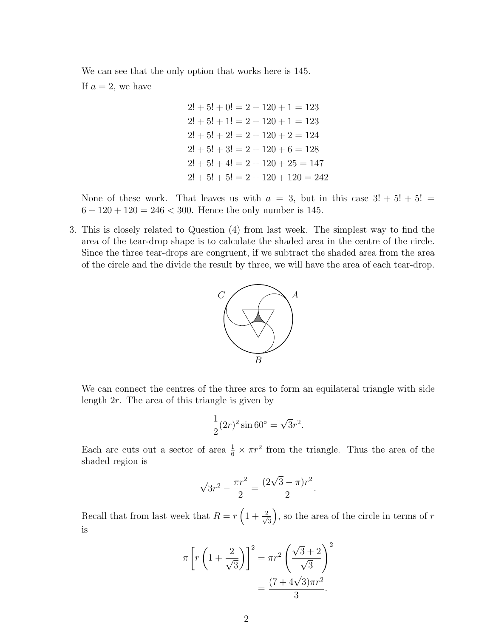We can see that the only option that works here is 145.

If  $a = 2$ , we have

 $2! + 5! + 0! = 2 + 120 + 1 = 123$  $2! + 5! + 1! = 2 + 120 + 1 = 123$  $2! + 5! + 2! = 2 + 120 + 2 = 124$  $2! + 5! + 3! = 2 + 120 + 6 = 128$  $2! + 5! + 4! = 2 + 120 + 25 = 147$  $2! + 5! + 5! = 2 + 120 + 120 = 242$ 

None of these work. That leaves us with  $a = 3$ , but in this case  $3! + 5! + 5! =$  $6 + 120 + 120 = 246 < 300$ . Hence the only number is 145.

3. This is closely related to Question (4) from last week. The simplest way to find the area of the tear-drop shape is to calculate the shaded area in the centre of the circle. Since the three tear-drops are congruent, if we subtract the shaded area from the area of the circle and the divide the result by three, we will have the area of each tear-drop.



We can connect the centres of the three arcs to form an equilateral triangle with side length 2r. The area of this triangle is given by

$$
\frac{1}{2}(2r)^2 \sin 60^\circ = \sqrt{3}r^2.
$$

Each arc cuts out a sector of area  $\frac{1}{6} \times \pi r^2$  from the triangle. Thus the area of the shaded region is

$$
\sqrt{3}r^2 - \frac{\pi r^2}{2} = \frac{(2\sqrt{3} - \pi)r^2}{2}.
$$

Recall that from last week that  $R = r \left(1 + \frac{2}{\sqrt{2}}\right)$ 3 ), so the area of the circle in terms of  $r$ is

$$
\pi \left[ r \left( 1 + \frac{2}{\sqrt{3}} \right) \right]^2 = \pi r^2 \left( \frac{\sqrt{3} + 2}{\sqrt{3}} \right)^2
$$

$$
= \frac{(7 + 4\sqrt{3})\pi r^2}{3}.
$$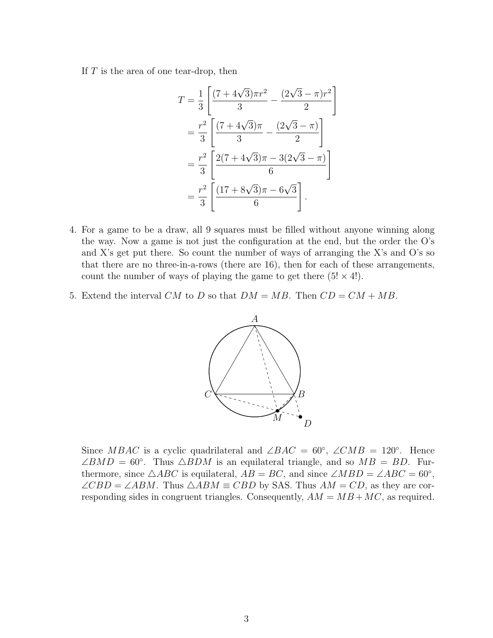If  $T$  is the area of one tear-drop, then

$$
T = \frac{1}{3} \left[ \frac{(7 + 4\sqrt{3})\pi r^2}{3} - \frac{(2\sqrt{3} - \pi)r^2}{2} \right]
$$
  
=  $\frac{r^2}{3} \left[ \frac{(7 + 4\sqrt{3})\pi}{3} - \frac{(2\sqrt{3} - \pi)}{2} \right]$   
=  $\frac{r^2}{3} \left[ \frac{2(7 + 4\sqrt{3})\pi - 3(2\sqrt{3} - \pi)}{6} \right]$   
=  $\frac{r^2}{3} \left[ \frac{(17 + 8\sqrt{3})\pi - 6\sqrt{3}}{6} \right].$ 

- 4. For a game to be a draw, all 9 squares must be filled without anyone winning along the way. Now a game is not just the configuration at the end, but the order the O's and X's get put there. So count the number of ways of arranging the X's and O's so that there are no three-in-a-rows (there are 16), then for each of these arrangements, count the number of ways of playing the game to get there  $(5! \times 4!)$ .
- 5. Extend the interval CM to D so that  $DM = MB$ . Then  $CD = CM + MB$ .



Since MBAC is a cyclic quadrilateral and  $\angle BAC = 60^{\circ}$ ,  $\angle CMB = 120^{\circ}$ . Hence  $\angle BMD = 60^\circ$ . Thus  $\triangle BDM$  is an equilateral triangle, and so  $MB = BD$ . Furthermore, since  $\triangle ABC$  is equilateral,  $AB = BC$ , and since  $\angle MBD = \angle ABC = 60^{\circ}$ ,  $\angle CBD = \angle ABM$ . Thus  $\triangle ABM \equiv CBD$  by SAS. Thus  $AM = CD$ , as they are corresponding sides in congruent triangles. Consequently,  $AM = MB + MC$ , as required.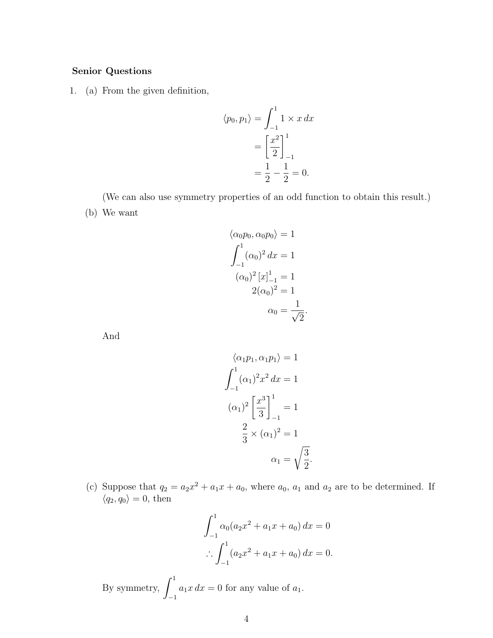## Senior Questions

1. (a) From the given definition,

$$
\langle p_0, p_1 \rangle = \int_{-1}^1 1 \times x \, dx
$$

$$
= \left[ \frac{x^2}{2} \right]_{-1}^1
$$

$$
= \frac{1}{2} - \frac{1}{2} = 0.
$$

(We can also use symmetry properties of an odd function to obtain this result.) (b) We want

$$
\langle \alpha_0 p_0, \alpha_0 p_0 \rangle = 1
$$
  

$$
\int_{-1}^{1} (\alpha_0)^2 dx = 1
$$
  

$$
(\alpha_0)^2 [x]_{-1}^{1} = 1
$$
  

$$
2(\alpha_0)^2 = 1
$$
  

$$
\alpha_0 = \frac{1}{\sqrt{2}}
$$

.

And

$$
\langle \alpha_1 p_1, \alpha_1 p_1 \rangle = 1
$$
  

$$
\int_{-1}^{1} (\alpha_1)^2 x^2 dx = 1
$$
  

$$
(\alpha_1)^2 \left[ \frac{x^3}{3} \right]_{-1}^{1} = 1
$$
  

$$
\frac{2}{3} \times (\alpha_1)^2 = 1
$$
  

$$
\alpha_1 = \sqrt{\frac{3}{2}}.
$$

(c) Suppose that  $q_2 = a_2x^2 + a_1x + a_0$ , where  $a_0$ ,  $a_1$  and  $a_2$  are to be determined. If  $\langle q_2, q_0 \rangle = 0$ , then

$$
\int_{-1}^{1} \alpha_0 (a_2 x^2 + a_1 x + a_0) dx = 0
$$
  

$$
\therefore \int_{-1}^{1} (a_2 x^2 + a_1 x + a_0) dx = 0.
$$

By symmetry,  $\int_1^1$ −1  $a_1x dx = 0$  for any value of  $a_1$ .